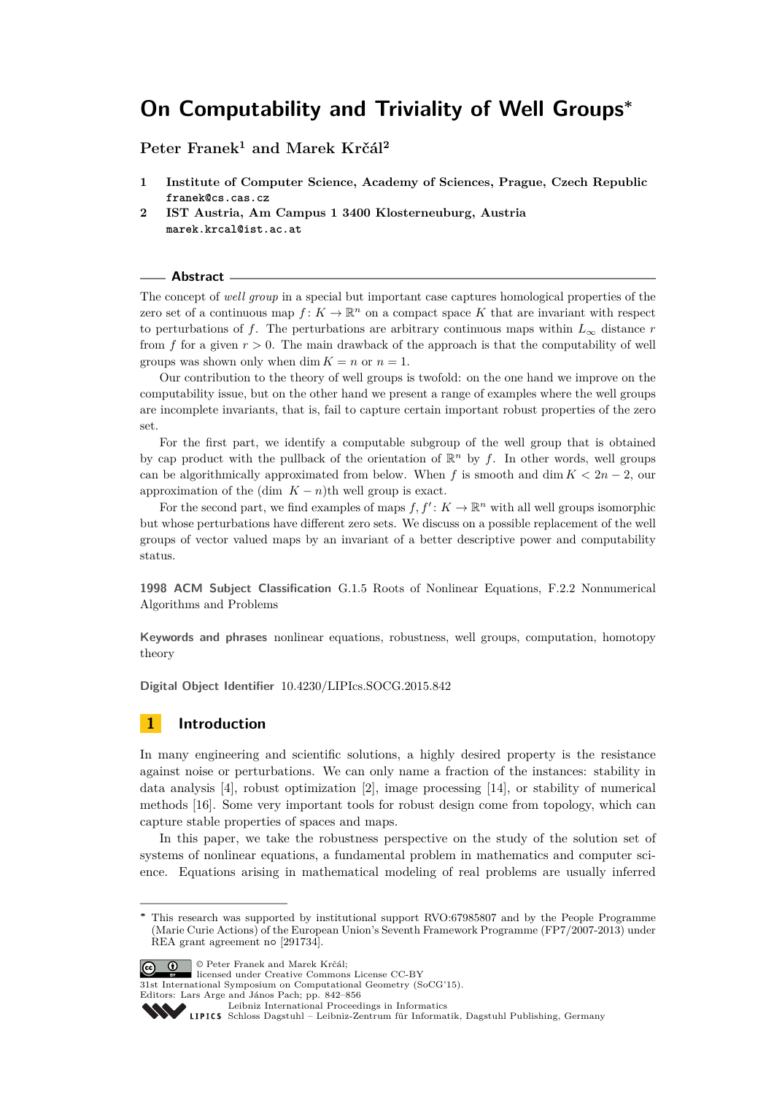**Peter Franek<sup>1</sup> and Marek Krčál<sup>2</sup>**

- **1 Institute of Computer Science, Academy of Sciences, Prague, Czech Republic franek@cs.cas.cz**
- **2 IST Austria, Am Campus 1 3400 Klosterneuburg, Austria marek.krcal@ist.ac.at**

## **Abstract**

The concept of *well group* in a special but important case captures homological properties of the zero set of a continuous map  $f: K \to \mathbb{R}^n$  on a compact space K that are invariant with respect to perturbations of *f*. The perturbations are arbitrary continuous maps within  $L_{\infty}$  distance *r* from  $f$  for a given  $r > 0$ . The main drawback of the approach is that the computability of well groups was shown only when dim  $K = n$  or  $n = 1$ .

Our contribution to the theory of well groups is twofold: on the one hand we improve on the computability issue, but on the other hand we present a range of examples where the well groups are incomplete invariants, that is, fail to capture certain important robust properties of the zero set.

For the first part, we identify a computable subgroup of the well group that is obtained by cap product with the pullback of the orientation of  $\mathbb{R}^n$  by f. In other words, well groups can be algorithmically approximated from below. When *f* is smooth and dim  $K < 2n - 2$ , our approximation of the (dim  $K - n$ )th well group is exact.

For the second part, we find examples of maps  $f, f' : K \to \mathbb{R}^n$  with all well groups isomorphic but whose perturbations have different zero sets. We discuss on a possible replacement of the well groups of vector valued maps by an invariant of a better descriptive power and computability status.

**1998 ACM Subject Classification** G.1.5 Roots of Nonlinear Equations, F.2.2 Nonnumerical Algorithms and Problems

**Keywords and phrases** nonlinear equations, robustness, well groups, computation, homotopy theory

**Digital Object Identifier** [10.4230/LIPIcs.SOCG.2015.842](http://dx.doi.org/10.4230/LIPIcs.SOCG.2015.842)

## **1 Introduction**

In many engineering and scientific solutions, a highly desired property is the resistance against noise or perturbations. We can only name a fraction of the instances: stability in data analysis [\[4\]](#page-13-0), robust optimization [\[2\]](#page-13-1), image processing [\[14\]](#page-14-0), or stability of numerical methods [\[16\]](#page-14-1). Some very important tools for robust design come from topology, which can capture stable properties of spaces and maps.

In this paper, we take the robustness perspective on the study of the solution set of systems of nonlinear equations, a fundamental problem in mathematics and computer science. Equations arising in mathematical modeling of real problems are usually inferred

© Peter Franek and Marek Krčál; licensed under Creative Commons License CC-BY

31st International Symposium on Computational Geometry (SoCG'15). Editors: Lars Arge and János Pach; pp. 842[–856](#page-14-2)

[Leibniz International Proceedings in Informatics](http://www.dagstuhl.de/lipics/)

[Schloss Dagstuhl – Leibniz-Zentrum für Informatik, Dagstuhl Publishing, Germany](http://www.dagstuhl.de)

This research was supported by institutional support RVO:67985807 and by the People Programme (Marie Curie Actions) of the European Union's Seventh Framework Programme (FP7/2007-2013) under REA grant agreement n**◦** [291734].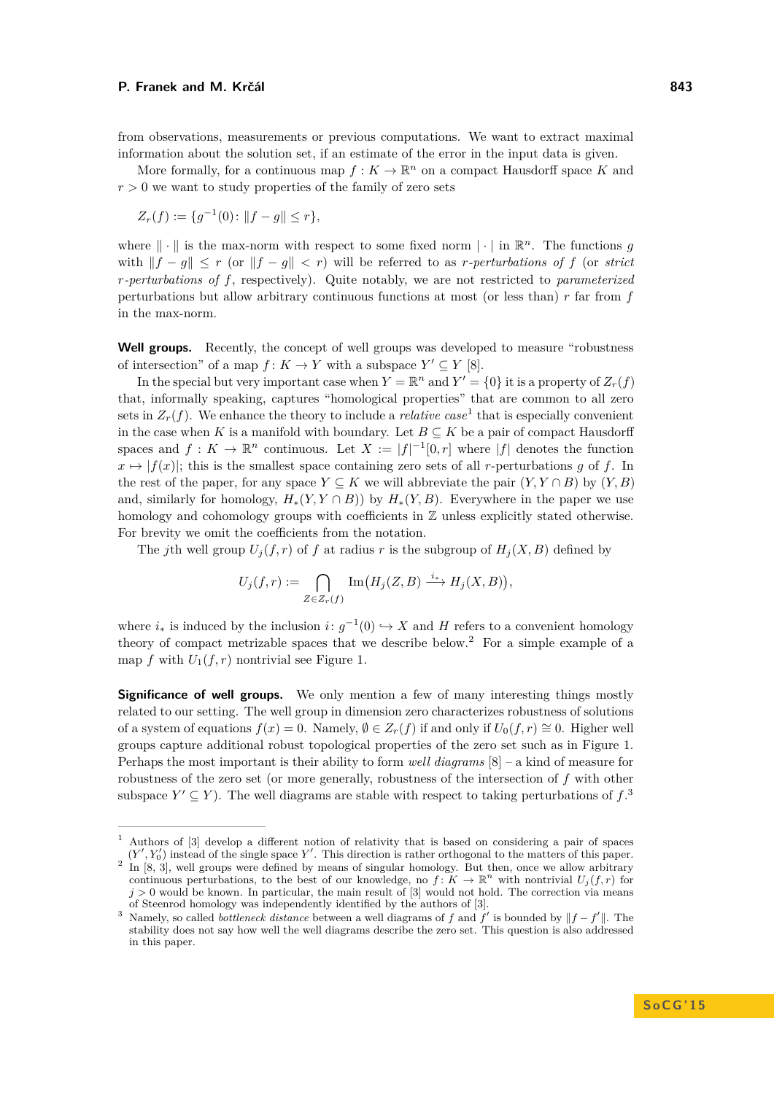from observations, measurements or previous computations. We want to extract maximal information about the solution set, if an estimate of the error in the input data is given.

More formally, for a continuous map  $f: K \to \mathbb{R}^n$  on a compact Hausdorff space K and  $r > 0$  we want to study properties of the family of zero sets

$$
Z_r(f) := \{ g^{-1}(0) \colon ||f - g|| \le r \},\
$$

where  $\|\cdot\|$  is the max-norm with respect to some fixed norm  $|\cdot|$  in  $\mathbb{R}^n$ . The functions *g* with  $||f - g|| \leq r$  (or  $||f - g|| < r$ ) will be referred to as *r*-perturbations of f (or *strict r-perturbations of f*, respectively). Quite notably, we are not restricted to *parameterized* perturbations but allow arbitrary continuous functions at most (or less than) *r* far from *f* in the max-norm.

Well groups. Recently, the concept of well groups was developed to measure "robustness" of intersection" of a map  $f: K \to Y$  with a subspace  $Y' \subseteq Y$  [\[8\]](#page-13-2).

In the special but very important case when  $Y = \mathbb{R}^n$  and  $Y' = \{0\}$  it is a property of  $Z_r(f)$ that, informally speaking, captures "homological properties" that are common to all zero sets in  $Z_r(f)$ . We enhance the theory to include a *relative case*<sup>[1](#page-1-0)</sup> that is especially convenient in the case when *K* is a manifold with boundary. Let  $B \subseteq K$  be a pair of compact Hausdorff spaces and  $f: K \to \mathbb{R}^n$  continuous. Let  $X := |f|^{-1}[0,r]$  where  $|f|$  denotes the function  $x \mapsto |f(x)|$ ; this is the smallest space containing zero sets of all *r*-perturbations *q* of *f*. In the rest of the paper, for any space  $Y \subseteq K$  we will abbreviate the pair  $(Y, Y \cap B)$  by  $(Y, B)$ and, similarly for homology,  $H_*(Y, Y \cap B)$  by  $H_*(Y, B)$ . Everywhere in the paper we use homology and cohomology groups with coefficients in  $\mathbb Z$  unless explicitly stated otherwise. For brevity we omit the coefficients from the notation.

The *j*th well group  $U_i(f, r)$  of *f* at radius *r* is the subgroup of  $H_i(X, B)$  defined by

$$
U_j(f,r) := \bigcap_{Z \in Z_r(f)} \operatorname{Im} (H_j(Z,B) \xrightarrow{i_*} H_j(X,B)),
$$

where  $i_*$  is induced by the inclusion  $i: g^{-1}(0) \hookrightarrow X$  and H refers to a convenient homology theory of compact metrizable spaces that we describe below.[2](#page-1-1) For a simple example of a map  $f$  with  $U_1(f, r)$  nontrivial see Figure [1.](#page-2-0)

**Significance of well groups.** We only mention a few of many interesting things mostly related to our setting. The well group in dimension zero characterizes robustness of solutions of a system of equations  $f(x) = 0$ . Namely,  $\emptyset \in Z_r(f)$  if and only if  $U_0(f, r) \cong 0$ . Higher well groups capture additional robust topological properties of the zero set such as in Figure [1.](#page-2-0) Perhaps the most important is their ability to form *well diagrams* [\[8\]](#page-13-2) – a kind of measure for robustness of the zero set (or more generally, robustness of the intersection of *f* with other subspace  $Y' \subseteq Y$ ). The well diagrams are stable with respect to taking perturbations of  $f$ .<sup>[3](#page-1-2)</sup>

<span id="page-1-0"></span><sup>1</sup> Authors of [\[3\]](#page-13-3) develop a different notion of relativity that is based on considering a pair of spaces

<span id="page-1-1"></span> $(Y', Y_0')$  instead of the single space Y'. This direction is rather orthogonal to the matters of this paper. <sup>2</sup> In [\[8,](#page-13-2) [3\]](#page-13-3), well groups were defined by means of singular homology. But then, once we allow arbitrary continuous perturbations, to the best of our knowledge, no  $f: K \to \mathbb{R}^n$  with nontrivial  $U_j(f,r)$  for  $j > 0$  would be known. In particular, the main result of [\[3\]](#page-13-3) would not hold. The correction via means of Steenrod homology was independently identified by the authors of [\[3\]](#page-13-3).

<span id="page-1-2"></span><sup>&</sup>lt;sup>3</sup> Namely, so called *bottleneck distance* between a well diagrams of *f* and  $\tilde{f}'$  is bounded by  $||f - f'||$ . The stability does not say how well the well diagrams describe the zero set. This question is also addressed in this paper.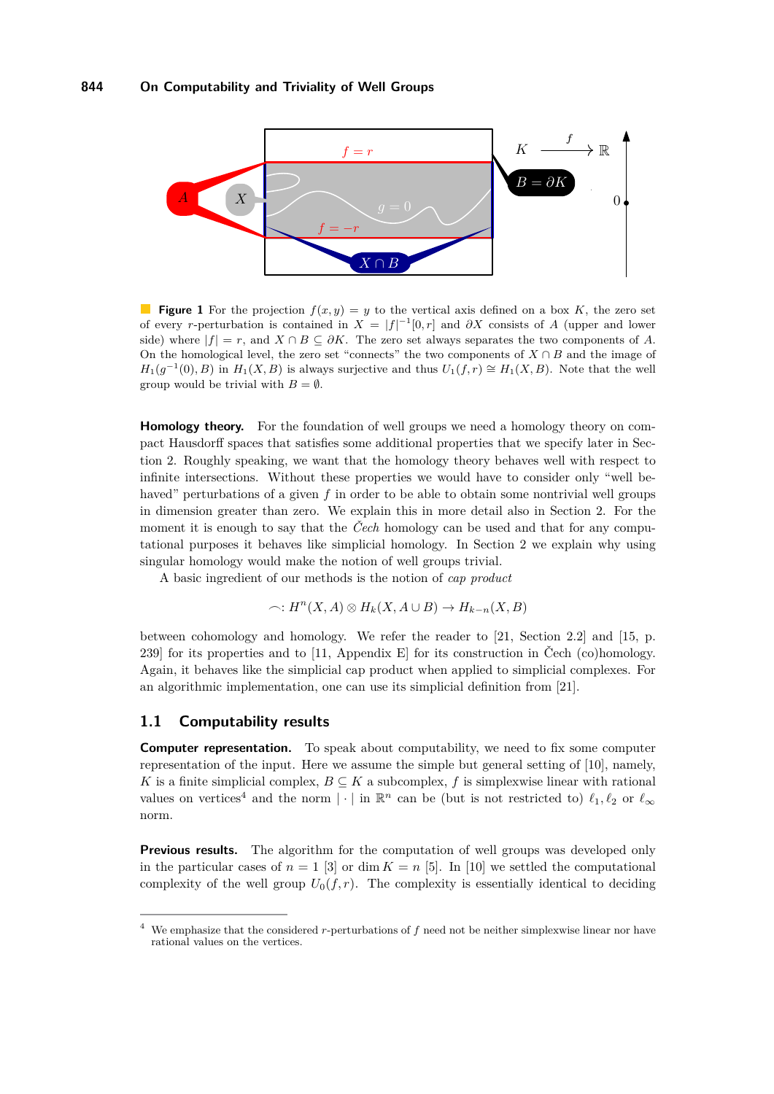<span id="page-2-0"></span>

**Figure 1** For the projection  $f(x, y) = y$  to the vertical axis defined on a box K, the zero set of every *r*-perturbation is contained in  $X = |f|^{-1}[0,r]$  and  $\partial X$  consists of *A* (upper and lower side) where  $|f| = r$ , and  $X \cap B \subseteq \partial K$ . The zero set always separates the two components of *A*. On the homological level, the zero set "connects" the two components of  $X \cap B$  and the image of  $H_1(g^{-1}(0), B)$  in  $H_1(X, B)$  is always surjective and thus  $U_1(f, r) \cong H_1(X, B)$ . Note that the well group would be trivial with  $B = \emptyset$ .

**Homology theory.** For the foundation of well groups we need a homology theory on compact Hausdorff spaces that satisfies some additional properties that we specify later in Section [2.](#page-7-0) Roughly speaking, we want that the homology theory behaves well with respect to infinite intersections. Without these properties we would have to consider only "well behaved" perturbations of a given f in order to be able to obtain some nontrivial well groups in dimension greater than zero. We explain this in more detail also in Section [2.](#page-7-0) For the moment it is enough to say that the *Čech* homology can be used and that for any computational purposes it behaves like simplicial homology. In Section [2](#page-7-0) we explain why using singular homology would make the notion of well groups trivial.

A basic ingredient of our methods is the notion of *cap product*

$$
\frown: H^n(X, A) \otimes H_k(X, A \cup B) \to H_{k-n}(X, B)
$$

between cohomology and homology. We refer the reader to [\[21,](#page-14-3) Section 2.2] and [\[15,](#page-14-4) p. 239] for its properties and to [\[11,](#page-14-5) Appendix E] for its construction in Čech (co)homology. Again, it behaves like the simplicial cap product when applied to simplicial complexes. For an algorithmic implementation, one can use its simplicial definition from [\[21\]](#page-14-3).

## **1.1 Computability results**

**Computer representation.** To speak about computability, we need to fix some computer representation of the input. Here we assume the simple but general setting of [\[10\]](#page-14-6), namely, *K* is a finite simplicial complex,  $B \subseteq K$  a subcomplex, *f* is simplexwise linear with rational values on vertices<sup>[4](#page-2-1)</sup> and the norm  $|\cdot|$  in  $\mathbb{R}^n$  can be (but is not restricted to)  $\ell_1, \ell_2$  or  $\ell_\infty$ norm.

**Previous results.** The algorithm for the computation of well groups was developed only in the particular cases of  $n = 1$  [\[3\]](#page-13-3) or dim  $K = n$  [\[5\]](#page-13-4). In [\[10\]](#page-14-6) we settled the computational complexity of the well group  $U_0(f,r)$ . The complexity is essentially identical to deciding

<span id="page-2-1"></span><sup>4</sup> We emphasize that the considered *r*-perturbations of *f* need not be neither simplexwise linear nor have rational values on the vertices.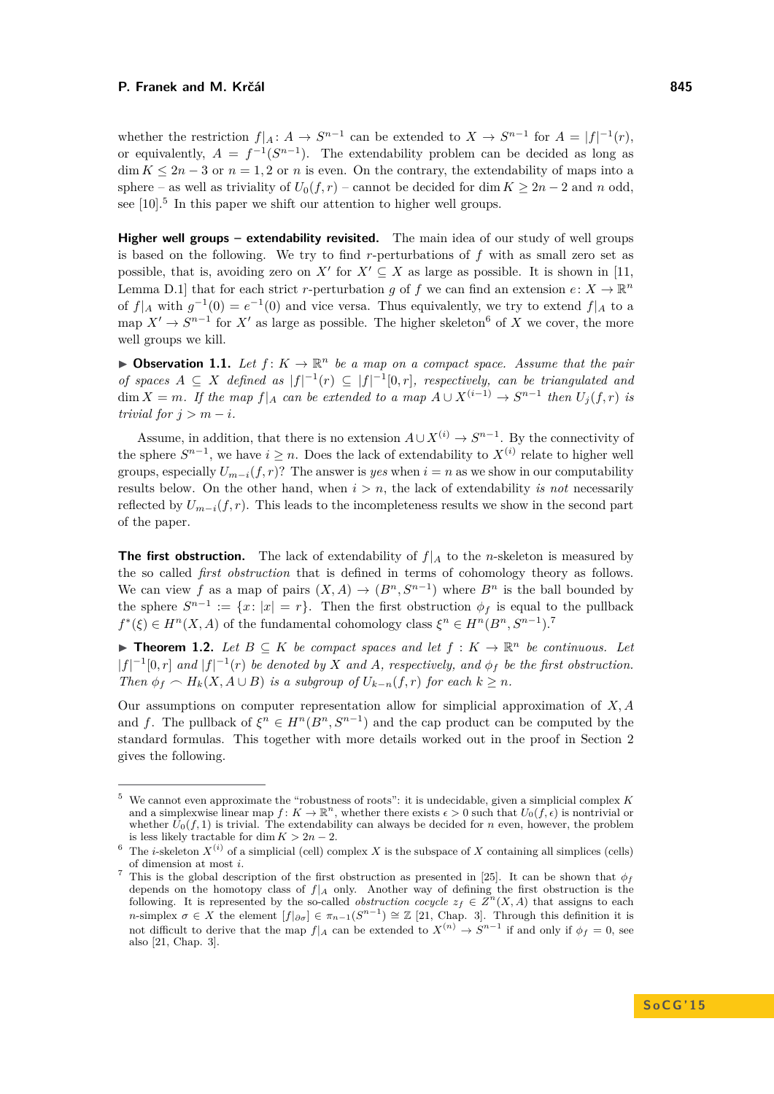whether the restriction  $f|_A: A \to S^{n-1}$  can be extended to  $X \to S^{n-1}$  for  $A = |f|^{-1}(r)$ , or equivalently,  $A = f^{-1}(S^{n-1})$ . The extendability problem can be decided as long as  $\dim K \leq 2n-3$  or  $n=1,2$  or *n* is even. On the contrary, the extendability of maps into a sphere – as well as triviality of  $U_0(f, r)$  – cannot be decided for dim  $K \geq 2n - 2$  and *n* odd, see  $[10]$ <sup>[5](#page-3-0)</sup>. In this paper we shift our attention to higher well groups.

**Higher well groups – extendability revisited.** The main idea of our study of well groups is based on the following. We try to find *r*-perturbations of *f* with as small zero set as possible, that is, avoiding zero on *X'* for  $X' \subseteq X$  as large as possible. It is shown in [\[11,](#page-14-5) Lemma D.1] that for each strict *r*-perturbation *g* of *f* we can find an extension  $e: X \to \mathbb{R}^n$ of  $f|_A$  with  $g^{-1}(0) = e^{-1}(0)$  and vice versa. Thus equivalently, we try to extend  $f|_A$  to a map  $X' \to S^{n-1}$  for  $X'$  as large as possible. The higher skeleton<sup>[6](#page-3-1)</sup> of *X* we cover, the more well groups we kill.

<span id="page-3-4"></span>**• Observation 1.1.** Let  $f: K \to \mathbb{R}^n$  be a map on a compact space. Assume that the pair *of spaces*  $A \subseteq X$  *defined as*  $|f|^{-1}(r) \subseteq |f|^{-1}[0,r]$ *, respectively, can be triangulated and*  $\dim X = m$ *. If the map*  $f|_A$  *can be extended to a map*  $A \cup X^{(i-1)} \rightarrow S^{n-1}$  *then*  $U_j(f,r)$  *is trivial for*  $j > m - i$ *.* 

Assume, in addition, that there is no extension  $A \cup X^{(i)} \to S^{n-1}$ . By the connectivity of the sphere  $S^{n-1}$ , we have  $i \geq n$ . Does the lack of extendability to  $X^{(i)}$  relate to higher well groups, especially  $U_{m-i}(f, r)$ ? The answer is *yes* when  $i = n$  as we show in our computability results below. On the other hand, when  $i > n$ , the lack of extendability *is not* necessarily reflected by  $U_{m-i}(f,r)$ . This leads to the incompleteness results we show in the second part of the paper.

**The first obstruction.** The lack of extendability of  $f|_A$  to the *n*-skeleton is measured by the so called *first obstruction* that is defined in terms of cohomology theory as follows. We can view *f* as a map of pairs  $(X, A) \to (B^n, S^{n-1})$  where  $B^n$  is the ball bounded by the sphere  $S^{n-1} := \{x : |x| = r\}$ . Then the first obstruction  $\phi_f$  is equal to the pullback  $f^*(\xi) \in H^n(X, A)$  of the fundamental cohomology class  $\xi^n \in H^n(B^n, S^{n-1})$ .

<span id="page-3-3"></span>**► Theorem 1.2.** Let  $B \subseteq K$  be compact spaces and let  $f : K \to \mathbb{R}^n$  be continuous. Let  $|f|^{-1}[0,r]$  *and*  $|f|^{-1}(r)$  *be denoted by X and A, respectively, and*  $\phi_f$  *be the first obstruction. Then*  $\phi_f \sim H_k(X, A \cup B)$  *is a subgroup of*  $U_{k-n}(f, r)$  *for each*  $k \geq n$ *.* 

Our assumptions on computer representation allow for simplicial approximation of *X, A* and *f*. The pullback of  $\xi^n \in H^n(B^n, S^{n-1})$  and the cap product can be computed by the standard formulas. This together with more details worked out in the proof in Section [2](#page-7-0) gives the following.

<span id="page-3-0"></span><sup>5</sup> We cannot even approximate the "robustness of roots": it is undecidable, given a simplicial complex *K* and a simplexwise linear map  $f: K \to \mathbb{R}^n$ , whether there exists  $\epsilon > 0$  such that  $U_0(f, \epsilon)$  is nontrivial or whether  $\bar{U}_0(f, 1)$  is trivial. The extendability can always be decided for *n* even, however, the problem is less likely tractable for dim  $K > 2n - 2$ .

<span id="page-3-1"></span><sup>&</sup>lt;sup>6</sup> The *i*-skeleton  $X^{(i)}$  of a simplicial (cell) complex *X* is the subspace of *X* containing all simplices (cells) of dimension at most *i*.

<span id="page-3-2"></span>This is the global description of the first obstruction as presented in [\[25\]](#page-14-7). It can be shown that  $\phi_f$ depends on the homotopy class of  $f|_A$  only. Another way of defining the first obstruction is the following. It is represented by the so-called *obstruction cocycle*  $z_f \in \mathbb{Z}^n(X, A)$  that assigns to each *n*-simplex  $\sigma \in X$  the element  $[f|_{\partial \sigma}] \in \pi_{n-1}(S^{n-1}) \cong \mathbb{Z}$  [\[21,](#page-14-3) Chap. 3]. Through this definition it is not difficult to derive that the map  $f|_A$  can be extended to  $X^{(n)} \to S^{n-1}$  if and only if  $\phi_f = 0$ , see also [\[21,](#page-14-3) Chap. 3].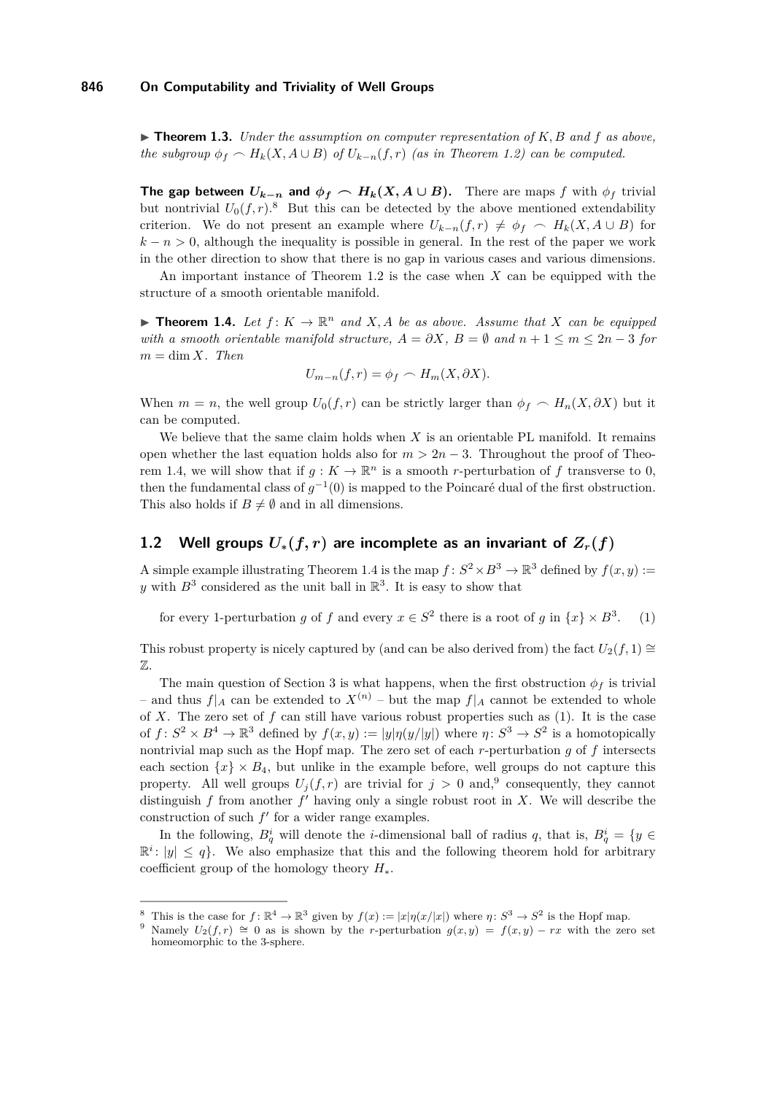<span id="page-4-4"></span> $\triangleright$  **Theorem 1.3.** *Under the assumption on computer representation of*  $K, B$  *and*  $f$  *as above, the subgroup*  $\phi_f \sim H_k(X, A \cup B)$  *of*  $U_{k-n}(f, r)$  *(as in Theorem [1.2\)](#page-3-3) can be computed.* 

**The gap between**  $U_{k-n}$  and  $\phi_f \sim H_k(X, A \cup B)$ . There are maps *f* with  $\phi_f$  trivial but nontrivial  $U_0(f,r)$ .<sup>[8](#page-4-0)</sup> But this can be detected by the above mentioned extendability criterion. We do not present an example where  $U_{k-n}(f,r) \neq \phi_f \sim H_k(X, A \cup B)$  for  $k - n > 0$ , although the inequality is possible in general. In the rest of the paper we work in the other direction to show that there is no gap in various cases and various dimensions.

An important instance of Theorem [1.2](#page-3-3) is the case when *X* can be equipped with the structure of a smooth orientable manifold.

<span id="page-4-1"></span>**Theorem 1.4.** Let  $f: K \to \mathbb{R}^n$  and  $X, A$  be as above. Assume that  $X$  can be equipped *with a smooth orientable manifold structure,*  $A = \partial X$ ,  $B = \emptyset$  and  $n + 1 \le m \le 2n - 3$  for  $m = \dim X$ *. Then* 

<span id="page-4-2"></span>
$$
U_{m-n}(f,r) = \phi_f \frown H_m(X, \partial X).
$$

When  $m = n$ , the well group  $U_0(f, r)$  can be strictly larger than  $\phi_f \sim H_n(X, \partial X)$  but it can be computed.

We believe that the same claim holds when *X* is an orientable PL manifold. It remains open whether the last equation holds also for  $m > 2n - 3$ . Throughout the proof of Theo-rem [1.4,](#page-4-1) we will show that if  $g: K \to \mathbb{R}^n$  is a smooth *r*-perturbation of f transverse to 0, then the fundamental class of  $g^{-1}(0)$  is mapped to the Poincaré dual of the first obstruction. This also holds if  $B \neq \emptyset$  and in all dimensions.

# **1.2** Well groups  $U_*(f, r)$  are incomplete as an invariant of  $Z_r(f)$

A simple example illustrating Theorem [1.4](#page-4-1) is the map  $f: S^2 \times B^3 \to \mathbb{R}^3$  defined by  $f(x, y) :=$ y with  $B^3$  considered as the unit ball in  $\mathbb{R}^3$ . It is easy to show that

for every 1-perturbation *g* of *f* and every  $x \in S^2$  there is a root of *g* in  $\{x\} \times B^3$ *.* (1)

This robust property is nicely captured by (and can be also derived from) the fact  $U_2(f, 1) \cong$  $\mathbb{Z}$ .

The main question of Section [3](#page-11-0) is what happens, when the first obstruction  $\phi_f$  is trivial – and thus  $f|_A$  can be extended to  $X^{(n)}$  – but the map  $f|_A$  cannot be extended to whole of *X*. The zero set of *f* can still have various robust properties such as [\(1\)](#page-4-2). It is the case of  $f: S^2 \times B^4 \to \mathbb{R}^3$  defined by  $f(x, y) := |y|\eta(y/|y|)$  where  $\eta: S^3 \to S^2$  is a homotopically nontrivial map such as the Hopf map. The zero set of each *r*-perturbation *g* of *f* intersects each section  $\{x\} \times B_4$ , but unlike in the example before, well groups do not capture this property. All well groups  $U_j(f, r)$  are trivial for  $j > 0$  and,<sup>[9](#page-4-3)</sup> consequently, they cannot distinguish  $f$  from another  $f'$  having only a single robust root in  $X$ . We will describe the construction of such  $f'$  for a wider range examples.

In the following,  $B_q^i$  will denote the *i*-dimensional ball of radius *q*, that is,  $B_q^i = \{y \in$  $\mathbb{R}^i: |y| \leq q$ . We also emphasize that this and the following theorem hold for arbitrary coefficient group of the homology theory *H*∗.

<span id="page-4-0"></span><sup>&</sup>lt;sup>8</sup> This is the case for  $f: \mathbb{R}^4 \to \mathbb{R}^3$  given by  $f(x) := |x|\eta(x/|x|)$  where  $\eta: S^3 \to S^2$  is the Hopf map.

<span id="page-4-3"></span>Namely  $U_2(f,r) \cong 0$  as is shown by the *r*-perturbation  $g(x,y) = f(x,y) - rx$  with the zero set homeomorphic to the 3-sphere.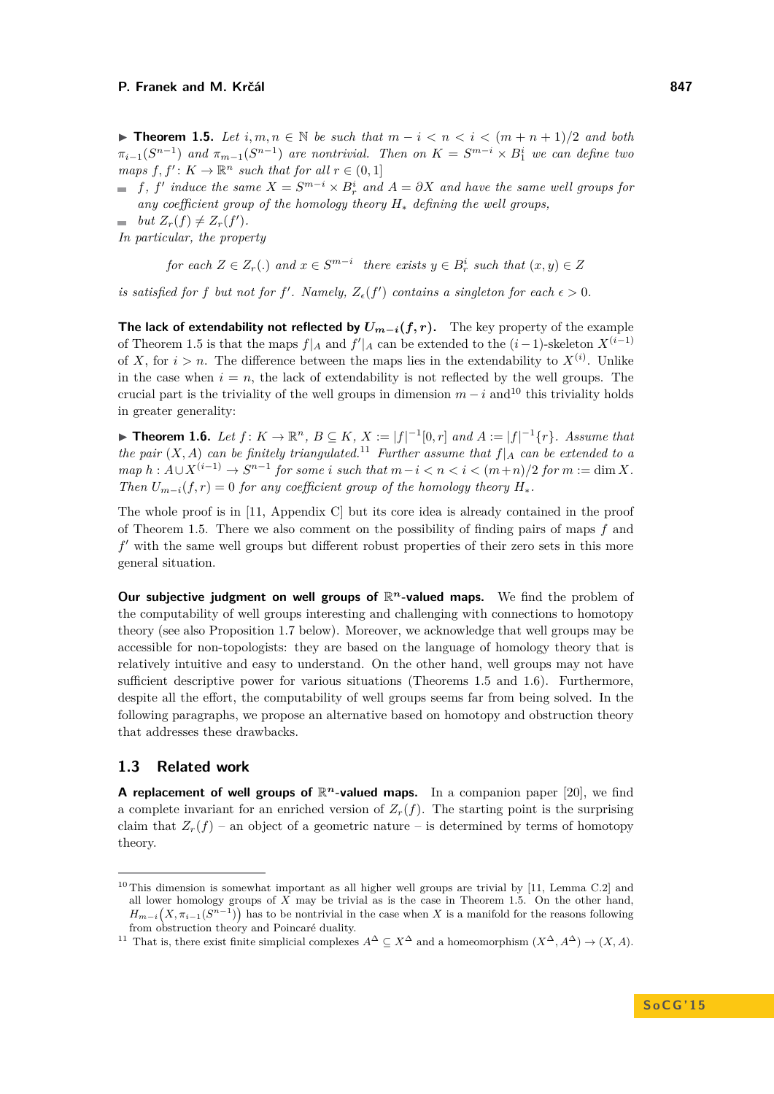<span id="page-5-0"></span>▶ **Theorem 1.5.** Let  $i, m, n \in \mathbb{N}$  be such that  $m - i < n < i < (m + n + 1)/2$  and both  $\pi_{i-1}(S^{n-1})$  *and*  $\pi_{m-1}(S^{n-1})$  *are nontrivial. Then on*  $K = S^{m-i} \times B_1^i$  *we can define two*  $maps f, f': K \to \mathbb{R}^n$  *such that for all*  $r \in (0,1]$ 

*f*, *f*<sup> $'$ </sup> induce the same  $X = S^{m-i} \times B_r^i$  and  $A = \partial X$  and have the same well groups for *any coefficient group of the homology theory H*<sup>∗</sup> *defining the well groups,*

*but*  $Z_r(f) \neq Z_r(f').$ 

*In particular, the property*

*for each*  $Z \in Z_r$  (*.*) *and*  $x \in S^{m-i}$  *there exists*  $y \in B_r^i$  *such that*  $(x, y) \in Z$ 

*is satisfied for f but not for f'*. Namely,  $Z_{\epsilon}(f')$  *contains a singleton for each*  $\epsilon > 0$ *.* 

**The lack of extendability not reflected by**  $U_{m-i}(f, r)$ **.** The key property of the example of Theorem [1.5](#page-5-0) is that the maps  $f|_A$  and  $f'|_A$  can be extended to the  $(i-1)$ -skeleton  $X^{(i-1)}$ of *X*, for  $i > n$ . The difference between the maps lies in the extendability to  $X^{(i)}$ . Unlike in the case when  $i = n$ , the lack of extendability is not reflected by the well groups. The crucial part is the triviality of the well groups in dimension  $m - i$  and<sup>[10](#page-5-1)</sup> this triviality holds in greater generality:

<span id="page-5-3"></span>▶ **Theorem 1.6.** *Let*  $f: K \to \mathbb{R}^n$ ,  $B \subseteq K$ ,  $X := |f|^{-1}[0,r]$  *and*  $A := |f|^{-1}\{r\}$ *. Assume that the pair*  $(X, A)$  *can be finitely triangulated.*<sup>[11](#page-5-2)</sup> *Further assume that*  $f|_A$  *can be extended to a map*  $h: A ∪ X<sup>(i-1)</sup> → S<sup>n-1</sup>$  *for some i such that*  $m-i < n < i < (m+n)/2$  *for*  $m := \dim X$ *. Then*  $U_{m-i}(f,r) = 0$  *for any coefficient group of the homology theory*  $H_*$ .

The whole proof is in [\[11,](#page-14-5) Appendix C] but its core idea is already contained in the proof of Theorem [1.5.](#page-5-0) There we also comment on the possibility of finding pairs of maps *f* and f' with the same well groups but different robust properties of their zero sets in this more general situation.

**Our subjective judgment on well groups of**  $\mathbb{R}^n$ **-valued maps.** We find the problem of the computability of well groups interesting and challenging with connections to homotopy theory (see also Proposition [1.7](#page-6-0) below). Moreover, we acknowledge that well groups may be accessible for non-topologists: they are based on the language of homology theory that is relatively intuitive and easy to understand. On the other hand, well groups may not have sufficient descriptive power for various situations (Theorems [1.5](#page-5-0) and [1.6\)](#page-5-3). Furthermore, despite all the effort, the computability of well groups seems far from being solved. In the following paragraphs, we propose an alternative based on homotopy and obstruction theory that addresses these drawbacks.

## **1.3 Related work**

**A replacement of well groups of**  $\mathbb{R}^n$ **-valued maps.** In a companion paper [\[20\]](#page-14-8), we find a complete invariant for an enriched version of  $Z_r(f)$ . The starting point is the surprising claim that  $Z_r(f)$  – an object of a geometric nature – is determined by terms of homotopy theory.

<span id="page-5-1"></span> $10$  This dimension is somewhat important as all higher well groups are trivial by [\[11,](#page-14-5) Lemma C.2] and all lower homology groups of  $\hat{X}$  may be trivial as is the case in Theorem [1.5.](#page-5-0) On the other hand,  $H_{m-i}(X, \pi_{i-1}(S^{n-1}))$  has to be nontrivial in the case when X is a manifold for the reasons following from obstruction theory and Poincaré duality.

<span id="page-5-2"></span><sup>&</sup>lt;sup>11</sup> That is, there exist finite simplicial complexes  $A^{\Delta} \subseteq X^{\Delta}$  and a homeomorphism  $(X^{\Delta}, A^{\Delta}) \to (X, A)$ .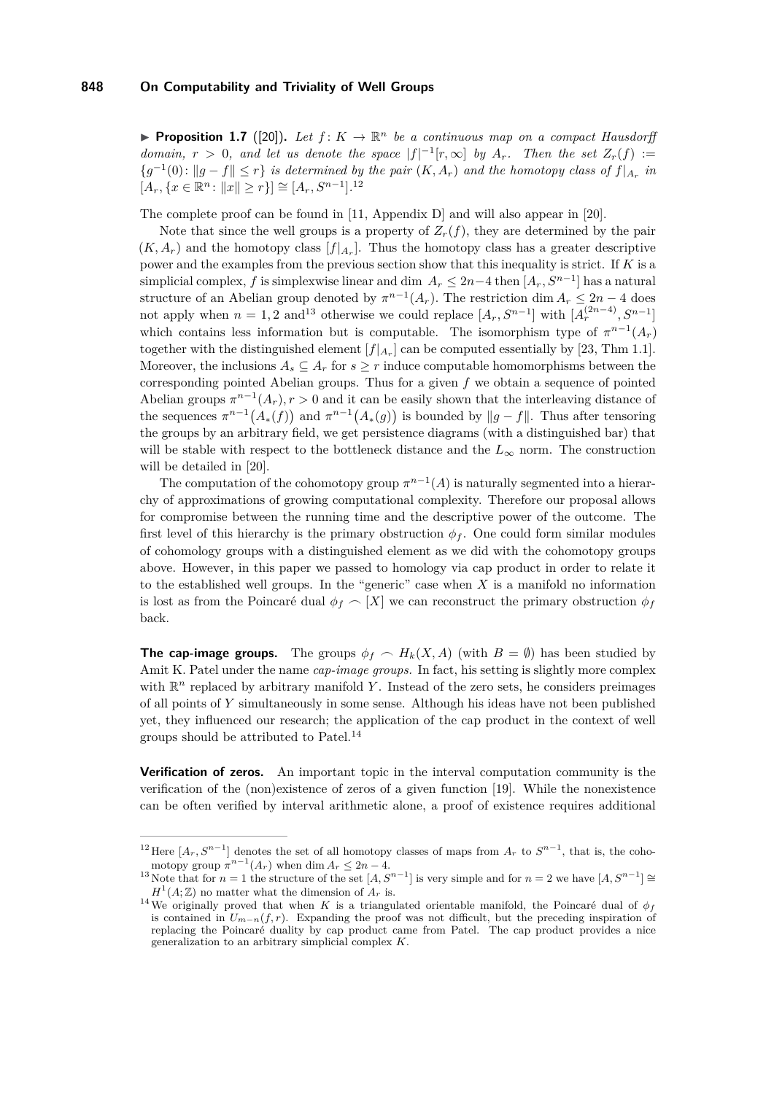<span id="page-6-0"></span>**Proposition 1.7** ([\[20\]](#page-14-8)). Let  $f: K \to \mathbb{R}^n$  be a continuous map on a compact Hausdorff *domain,*  $r > 0$ *, and let us denote the space*  $|f|^{-1}[r,\infty]$  *by*  $A_r$ *. Then the set*  $Z_r(f) :=$  ${g^{-1}(0): \|g - f\| \leq r}$  *is determined by the pair*  $(K, A_r)$  *and the homotopy class of*  $f|_{A_r}$  *in*  $[A_r, \{x \in \mathbb{R}^n : ||x|| \ge r\}] \cong [A_r, S^{n-1}].^{12}$  $[A_r, \{x \in \mathbb{R}^n : ||x|| \ge r\}] \cong [A_r, S^{n-1}].^{12}$  $[A_r, \{x \in \mathbb{R}^n : ||x|| \ge r\}] \cong [A_r, S^{n-1}].^{12}$ 

The complete proof can be found in [\[11,](#page-14-5) Appendix D] and will also appear in [\[20\]](#page-14-8).

Note that since the well groups is a property of  $Z_r(f)$ , they are determined by the pair  $(K, A_r)$  and the homotopy class  $[f|_{A_r}]$ . Thus the homotopy class has a greater descriptive power and the examples from the previous section show that this inequality is strict. If *K* is a  $\sum_{r=1}^{\infty}$  simplicial complex, *f* is simplexwise linear and dim  $A_r \leq 2n-4$  then  $[A_r, S^{n-1}]$  has a natural structure of an Abelian group denoted by  $\pi^{n-1}(A_r)$ . The restriction dim  $A_r \leq 2n-4$  does not apply when  $n = 1, 2$  and<sup>[13](#page-6-2)</sup> otherwise we could replace  $[A_r, S^{n-1}]$  with  $[A_r^{(2n-4)}, S^{n-1}]$ which contains less information but is computable. The isomorphism type of  $\pi^{n-1}(A_r)$ together with the distinguished element  $[f|_{A_r}]$  can be computed essentially by [\[23,](#page-14-9) Thm 1.1]. Moreover, the inclusions  $A_s \subseteq A_r$  for  $s \geq r$  induce computable homomorphisms between the corresponding pointed Abelian groups. Thus for a given *f* we obtain a sequence of pointed Abelian groups  $\pi^{n-1}(A_r)$ ,  $r > 0$  and it can be easily shown that the interleaving distance of the sequences  $\pi^{n-1}(A_*(f))$  and  $\pi^{n-1}(A_*(g))$  is bounded by  $||g - f||$ . Thus after tensoring the groups by an arbitrary field, we get persistence diagrams (with a distinguished bar) that will be stable with respect to the bottleneck distance and the  $L_{\infty}$  norm. The construction will be detailed in [\[20\]](#page-14-8).

The computation of the cohomotopy group  $\pi^{n-1}(A)$  is naturally segmented into a hierarchy of approximations of growing computational complexity. Therefore our proposal allows for compromise between the running time and the descriptive power of the outcome. The first level of this hierarchy is the primary obstruction  $\phi_f$ . One could form similar modules of cohomology groups with a distinguished element as we did with the cohomotopy groups above. However, in this paper we passed to homology via cap product in order to relate it to the established well groups. In the "generic" case when *X* is a manifold no information is lost as from the Poincaré dual  $\phi_f \sim [X]$  we can reconstruct the primary obstruction  $\phi_f$ back.

**The cap-image groups.** The groups  $\phi_f \sim H_k(X, A)$  (with  $B = \emptyset$ ) has been studied by Amit K. Patel under the name *cap-image groups.* In fact, his setting is slightly more complex with  $\mathbb{R}^n$  replaced by arbitrary manifold Y. Instead of the zero sets, he considers preimages of all points of *Y* simultaneously in some sense. Although his ideas have not been published yet, they influenced our research; the application of the cap product in the context of well groups should be attributed to Patel.[14](#page-6-3)

**Verification of zeros.** An important topic in the interval computation community is the verification of the (non)existence of zeros of a given function [\[19\]](#page-14-10). While the nonexistence can be often verified by interval arithmetic alone, a proof of existence requires additional

<span id="page-6-1"></span><sup>&</sup>lt;sup>12</sup> Here  $[A_r, S^{n-1}]$  denotes the set of all homotopy classes of maps from  $A_r$  to  $S^{n-1}$ , that is, the cohomotopy group  $\pi^{n-1}(A_r)$  when dim  $A_r \leq 2n-4$ .

<span id="page-6-2"></span><sup>&</sup>lt;sup>13</sup> Note that for  $n = 1$  the structure of the set  $[A, S^{n-1}]$  is very simple and for  $n = 2$  we have  $[A, S^{n-1}] \cong$  $H^1(A;\mathbb{Z})$  no matter what the dimension of  $A_r$  is.

<span id="page-6-3"></span><sup>&</sup>lt;sup>14</sup>We originally proved that when *K* is a triangulated orientable manifold, the Poincaré dual of  $\phi_f$ is contained in  $U_{m-n}(f,r)$ . Expanding the proof was not difficult, but the preceding inspiration of replacing the Poincaré duality by cap product came from Patel. The cap product provides a nice generalization to an arbitrary simplicial complex *K*.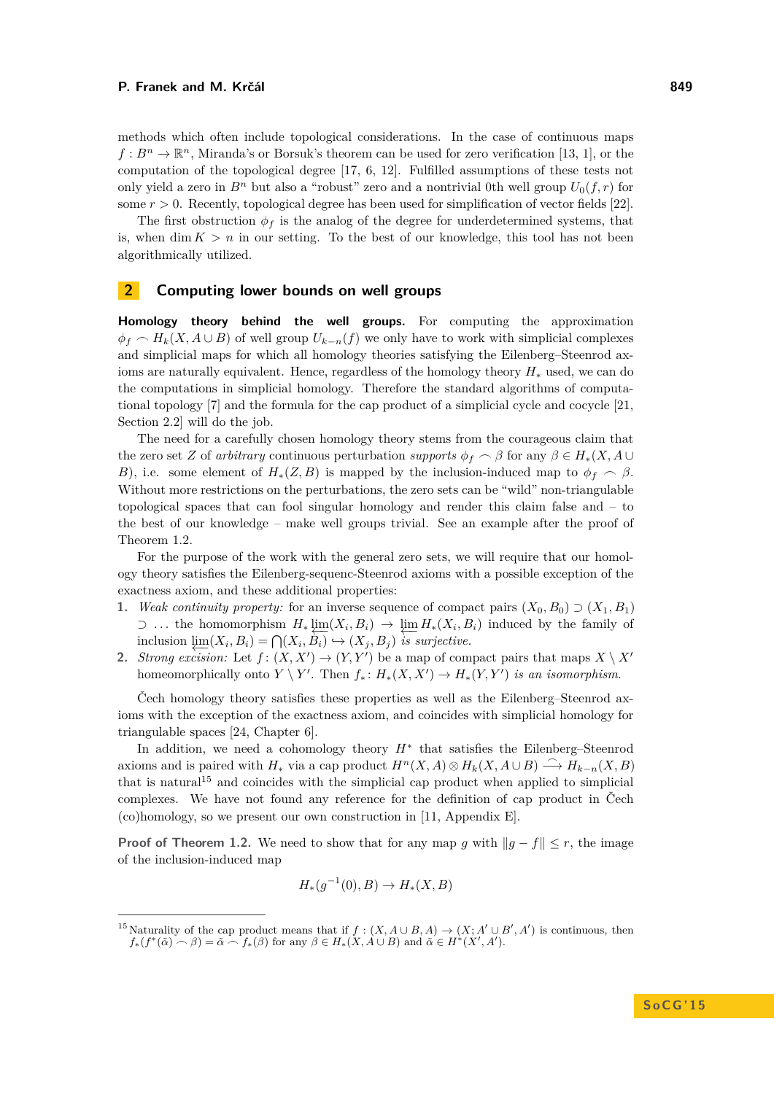methods which often include topological considerations. In the case of continuous maps  $f: B<sup>n</sup> \to \mathbb{R}<sup>n</sup>$ , Miranda's or Borsuk's theorem can be used for zero verification [\[13,](#page-14-11) [1\]](#page-13-5), or the computation of the topological degree [\[17,](#page-14-12) [6,](#page-13-6) [12\]](#page-14-13). Fulfilled assumptions of these tests not only yield a zero in  $B^n$  but also a "robust" zero and a nontrivial 0th well group  $U_0(f, r)$  for some  $r > 0$ . Recently, topological degree has been used for simplification of vector fields [\[22\]](#page-14-14).

The first obstruction  $\phi_f$  is the analog of the degree for underdetermined systems, that is, when dim  $K > n$  in our setting. To the best of our knowledge, this tool has not been algorithmically utilized.

## <span id="page-7-0"></span>**2 Computing lower bounds on well groups**

**Homology theory behind the well groups.** For computing the approximation  $\phi_f \sim H_k(X, A \cup B)$  of well group  $U_{k-n}(f)$  we only have to work with simplicial complexes and simplicial maps for which all homology theories satisfying the Eilenberg–Steenrod axioms are naturally equivalent. Hence, regardless of the homology theory *H*<sup>∗</sup> used, we can do the computations in simplicial homology. Therefore the standard algorithms of computational topology [\[7\]](#page-13-7) and the formula for the cap product of a simplicial cycle and cocycle [\[21,](#page-14-3) Section 2.2] will do the job.

The need for a carefully chosen homology theory stems from the courageous claim that the zero set *Z* of *arbitrary* continuous perturbation *supports*  $\phi_f \frown \beta$  for any  $\beta \in H_*(X, A \cup$ *B*), i.e. some element of  $H_*(Z, B)$  is mapped by the inclusion-induced map to  $\phi_f \sim \beta$ . Without more restrictions on the perturbations, the zero sets can be "wild" non-triangulable topological spaces that can fool singular homology and render this claim false and – to the best of our knowledge – make well groups trivial. See an example after the proof of Theorem [1.2.](#page-3-3)

For the purpose of the work with the general zero sets, we will require that our homology theory satisfies the Eilenberg-sequenc-Steenrod axioms with a possible exception of the exactness axiom, and these additional properties:

- <span id="page-7-2"></span>**1.** *Weak continuity property:* for an inverse sequence of compact pairs  $(X_0, B_0) \supset (X_1, B_1)$ ⊃ ... the homomorphism  $H_* \varprojlim (X_i, B_i) \to \varprojlim H_*(X_i, B_i)$  induced by the family of inclusion  $\varprojlim(X_i, B_i) = \bigcap(X_i, B_i) \hookrightarrow (X_j, B_j)$  is surjective.
- **2.** *Strong excision:* Let  $f: (X, X') \to (Y, Y')$  be a map of compact pairs that maps  $X \setminus X'$ homeomorphically onto  $Y \setminus Y'$ . Then  $f_* : H_*(X, X') \to H_*(Y, Y')$  *is an isomorphism.*

Čech homology theory satisfies these properties as well as the Eilenberg–Steenrod axioms with the exception of the exactness axiom, and coincides with simplicial homology for triangulable spaces [\[24,](#page-14-15) Chapter 6].

In addition, we need a cohomology theory *H*<sup>∗</sup> that satisfies the Eilenberg–Steenrod axioms and is paired with  $H_*$  via a cap product  $H^n(X, A) \otimes H_k(X, A \cup B) \stackrel{\sim}{\longrightarrow} H_{k-n}(X, B)$ that is natural<sup>[15](#page-7-1)</sup> and coincides with the simplicial cap product when applied to simplicial complexes. We have not found any reference for the definition of cap product in Čech (co)homology, so we present our own construction in [\[11,](#page-14-5) Appendix E].

**Proof of Theorem [1.2.](#page-3-3)** We need to show that for any map *g* with  $||g - f|| \leq r$ , the image of the inclusion-induced map

$$
H_*(g^{-1}(0), B) \to H_*(X, B)
$$

<span id="page-7-1"></span><sup>&</sup>lt;sup>15</sup> Naturality of the cap product means that if  $f : (X, A \cup B, A) \rightarrow (X, A' \cup B', A')$  is continuous, then  $f_*(f^*(\tilde{\alpha}) \cap \beta) = \tilde{\alpha} \cap f_*(\beta)$  for any  $\beta \in H_*(X, A \cup B)$  and  $\tilde{\alpha} \in H^*(X', A')$ .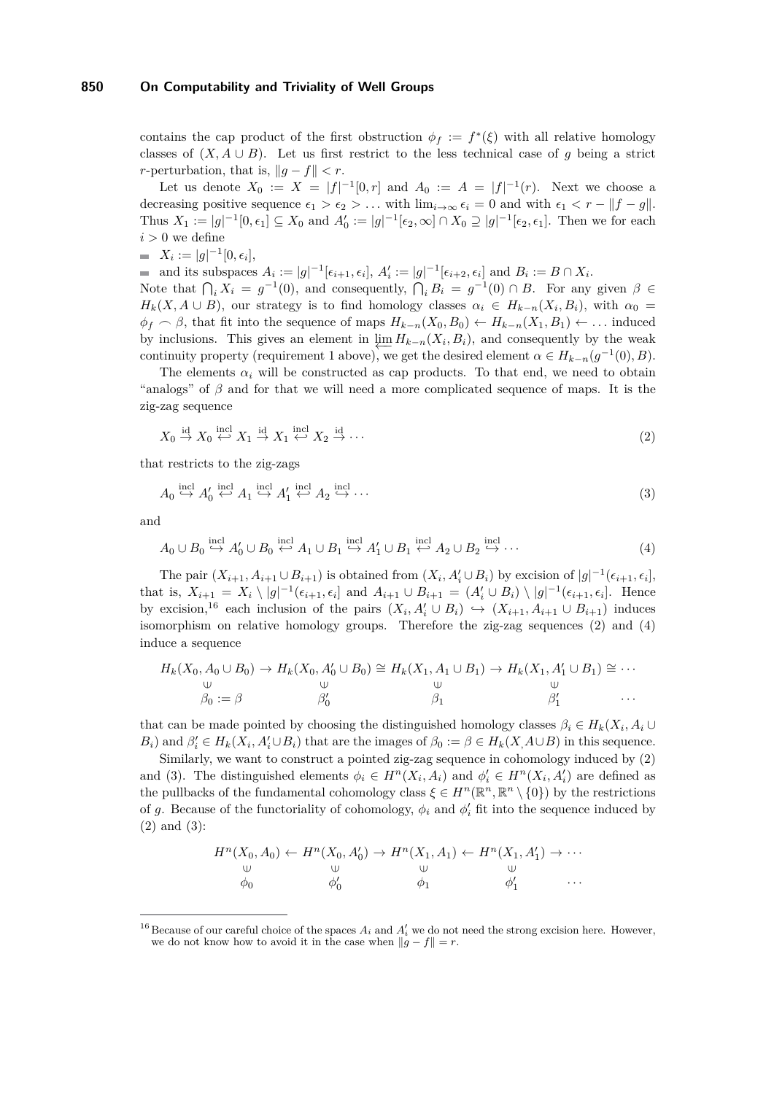contains the cap product of the first obstruction  $\phi_f := f^*(\xi)$  with all relative homology classes of  $(X, A \cup B)$ . Let us first restrict to the less technical case of *g* being a strict *r*-perturbation, that is,  $||q - f|| < r$ .

Let us denote  $X_0 := X = |f|^{-1}[0,r]$  and  $A_0 := A = |f|^{-1}(r)$ . Next we choose a decreasing positive sequence  $\epsilon_1 > \epsilon_2 > ...$  with  $\lim_{i \to \infty} \epsilon_i = 0$  and with  $\epsilon_1 < r - ||f - g||$ . Thus  $X_1 := |g|^{-1}[0, \epsilon_1] \subseteq X_0$  and  $A'_0 := |g|^{-1}[\epsilon_2, \infty] \cap X_0 \supseteq |g|^{-1}[\epsilon_2, \epsilon_1]$ . Then we for each  $i > 0$  we define

 $X_i := |g|^{-1}[0, \epsilon_i],$ 

and its subspaces  $A_i := |g|^{-1}[\epsilon_{i+1}, \epsilon_i], A'_i := |g|^{-1}[\epsilon_{i+2}, \epsilon_i]$  and  $B_i := B \cap X_i$ .

Note that  $\bigcap_i X_i = g^{-1}(0)$ , and consequently,  $\bigcap_i B_i = g^{-1}(0) \cap B$ . For any given  $\beta \in$ *H<sub>k</sub>*(*X, A* ∪ *B*), our strategy is to find homology classes  $\alpha_i \in H_{k-n}(X_i, B_i)$ , with  $\alpha_0 =$  $\phi$ <sup>*f*</sup>  $\frown$  *β*, that fit into the sequence of maps  $H_{k-n}(X_0, B_0) \leftarrow H_{k-n}(X_1, B_1) \leftarrow \dots$  induced by inclusions. This gives an element in  $\varprojlim H_{k-n}(X_i, B_i)$ , and consequently by the weak continuity property (requirement [1](#page-7-2) above), we get the desired element  $\alpha \in H_{k-n}(g^{-1}(0), B)$ .

The elements  $\alpha_i$  will be constructed as cap products. To that end, we need to obtain "analogs" of  $\beta$  and for that we will need a more complicated sequence of maps. It is the zig-zag sequence

<span id="page-8-3"></span><span id="page-8-1"></span>
$$
X_0 \stackrel{\text{id}}{\to} X_0 \stackrel{\text{incl}}{\leftarrow} X_1 \stackrel{\text{id}}{\to} X_1 \stackrel{\text{incl}}{\leftarrow} X_2 \stackrel{\text{id}}{\to} \cdots \tag{2}
$$

that restricts to the zig-zags

<span id="page-8-2"></span>
$$
A_0 \stackrel{\text{incl}}{\hookrightarrow} A'_0 \stackrel{\text{incl}}{\hookleftarrow} A_1 \stackrel{\text{incl}}{\hookrightarrow} A'_1 \stackrel{\text{incl}}{\hookleftarrow} A_2 \stackrel{\text{incl}}{\hookrightarrow} \cdots
$$
 (3)

and

$$
A_0 \cup B_0 \stackrel{\text{incl}}{\hookrightarrow} A'_0 \cup B_0 \stackrel{\text{incl}}{\hookleftarrow} A_1 \cup B_1 \stackrel{\text{incl}}{\hookrightarrow} A'_1 \cup B_1 \stackrel{\text{incl}}{\hookleftarrow} A_2 \cup B_2 \stackrel{\text{incl}}{\hookrightarrow} \cdots
$$
 (4)

The pair  $(X_{i+1}, A_{i+1} \cup B_{i+1})$  is obtained from  $(X_i, A'_i \cup B_i)$  by excision of  $|g|^{-1}(\epsilon_{i+1}, \epsilon_i]$ , that is,  $X_{i+1} = X_i \setminus |g|^{-1}(\epsilon_{i+1}, \epsilon_i]$  and  $A_{i+1} \cup B_{i+1} = (A'_i \cup B_i) \setminus |g|^{-1}(\epsilon_{i+1}, \epsilon_i]$ . Hence by excision,<sup>[16](#page-8-0)</sup> each inclusion of the pairs  $(X_i, A'_i \cup B_i) \hookrightarrow (X_{i+1}, A_{i+1} \cup B_{i+1})$  induces isomorphism on relative homology groups. Therefore the zig-zag sequences [\(2\)](#page-8-1) and [\(4\)](#page-8-2) induce a sequence

$$
H_k(X_0, A_0 \cup B_0) \to H_k(X_0, A'_0 \cup B_0) \cong H_k(X_1, A_1 \cup B_1) \to H_k(X_1, A'_1 \cup B_1) \cong \cdots
$$
  
\n
$$
\begin{array}{c}\n\cup \\
\downarrow \\
\beta_0 := \beta \\
\beta'_0 \\
\vdots \\
\beta'_1\n\end{array} \qquad \qquad \begin{array}{c}\n\cup \\
\downarrow \\
\beta_1 \\
\beta'_1 \\
\vdots \\
\beta'_1\n\end{array} \qquad \qquad \cdots
$$

that can be made pointed by choosing the distinguished homology classes  $\beta_i \in H_k(X_i, A_i \cup$  $B_i$ ) and  $\beta'_i \in H_k(X_i, A'_i \cup B_i)$  that are the images of  $\beta_0 := \beta \in H_k(X, A \cup B)$  in this sequence.

Similarly, we want to construct a pointed zig-zag sequence in cohomology induced by [\(2\)](#page-8-1) and [\(3\)](#page-8-3). The distinguished elements  $\phi_i \in H^n(X_i, A_i)$  and  $\phi'_i \in H^n(X_i, A'_i)$  are defined as the pullbacks of the fundamental cohomology class  $\xi \in H^n(\mathbb{R}^n, \mathbb{R}^n \setminus \{0\})$  by the restrictions of *g*. Because of the functoriality of cohomology,  $\phi_i$  and  $\phi'_i$  fit into the sequence induced by [\(2\)](#page-8-1) and [\(3\)](#page-8-3):

$$
H^{n}(X_0, A_0) \leftarrow H^{n}(X_0, A'_0) \rightarrow H^{n}(X_1, A_1) \leftarrow H^{n}(X_1, A'_1) \rightarrow \cdots
$$
  
\n
$$
\begin{array}{ccc}\n\downarrow & \downarrow & \downarrow \\
\downarrow & \downarrow & \downarrow \\
\phi_0 & \phi'_0 & \phi_1 & \phi'_1 & \cdots\n\end{array}
$$

<span id="page-8-0"></span><sup>&</sup>lt;sup>16</sup> Because of our careful choice of the spaces  $A_i$  and  $A'_i$  we do not need the strong excision here. However, we do not know how to avoid it in the case when  $\|\hat{g} - f\| = r$ .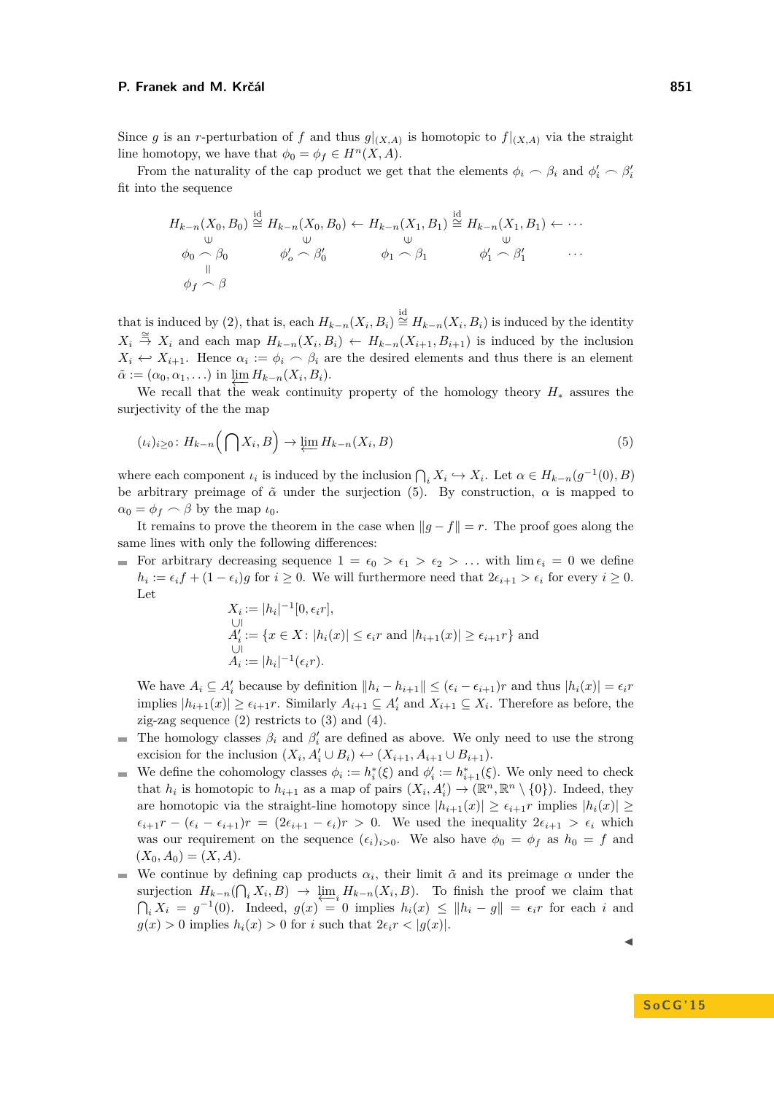From the naturality of the cap product we get that the elements  $\phi_i \frown \beta_i$  and  $\phi'_i \frown \beta'_i$ fit into the sequence

$$
H_{k-n}(X_0, B_0) \stackrel{\text{id}}{\cong} H_{k-n}(X_0, B_0) \leftarrow H_{k-n}(X_1, B_1) \stackrel{\text{id}}{\cong} H_{k-n}(X_1, B_1) \leftarrow \cdots
$$
  
\n
$$
\begin{array}{ccc}\n\downarrow & \downarrow & \downarrow & \downarrow \\
\phi_0 \cap \beta_0 & \phi'_o \cap \beta'_0 & \phi_1 \cap \beta_1 & \phi'_1 \cap \beta'_1 \\
\downarrow & \downarrow & \downarrow & \downarrow\n\end{array}
$$

that is induced by [\(2\)](#page-8-1), that is, each  $H_{k-n}(X_i, B_i) \stackrel{\text{id}}{=} H_{k-n}(X_i, B_i)$  is induced by the identity *X*<sup>*i*</sup>  $\stackrel{\cong}{\to}$  *X<sub>i</sub>* and each map  $H_{k-n}(X_i, B_i)$  ←  $H_{k-n}(X_{i+1}, B_{i+1})$  is induced by the inclusion  $X_i \leftrightarrow X_{i+1}$ . Hence  $\alpha_i := \phi_i \frown \beta_i$  are the desired elements and thus there is an element  $\tilde{\alpha} := (\alpha_0, \alpha_1, \ldots)$  in  $\underleftarrow{\lim} H_{k-n}(X_i, B_i).$ 

We recall that the weak continuity property of the homology theory *H*<sup>∗</sup> assures the surjectivity of the the map

<span id="page-9-0"></span>
$$
(\iota_i)_{i\geq 0} : H_{k-n}\left(\bigcap X_i, B\right) \to \varprojlim H_{k-n}(X_i, B) \tag{5}
$$

where each component  $\iota_i$  is induced by the inclusion  $\bigcap_i X_i \hookrightarrow X_i$ . Let  $\alpha \in H_{k-n}(g^{-1}(0), B)$ be arbitrary preimage of  $\tilde{\alpha}$  under the surjection [\(5\)](#page-9-0). By construction,  $\alpha$  is mapped to  $\alpha_0 = \phi_f \frown \beta$  by the map  $\iota_0$ .

It remains to prove the theorem in the case when  $||g - f|| = r$ . The proof goes along the same lines with only the following differences:

For arbitrary decreasing sequence  $1 = \epsilon_0 > \epsilon_1 > \epsilon_2 > ...$  with  $\lim \epsilon_i = 0$  we define  $h_i := \epsilon_i f + (1 - \epsilon_i)g$  for  $i \geq 0$ . We will furthermore need that  $2\epsilon_{i+1} > \epsilon_i$  for every  $i \geq 0$ . Let

$$
X_i := |h_i|^{-1} [0, \epsilon_i r],
$$
  
\n
$$
A'_i := \{ x \in X : |h_i(x)| \le \epsilon_i r \text{ and } |h_{i+1}(x)| \ge \epsilon_{i+1} r \} \text{ and }
$$
  
\n
$$
A_i := |h_i|^{-1} (\epsilon_i r).
$$

We have  $A_i \subseteq A'_i$  because by definition  $||h_i - h_{i+1}|| \leq (\epsilon_i - \epsilon_{i+1})r$  and thus  $|h_i(x)| = \epsilon_i r$ implies  $|h_{i+1}(x)| \geq \epsilon_{i+1}r$ . Similarly  $A_{i+1} \subseteq A_i'$  and  $X_{i+1} \subseteq X_i$ . Therefore as before, the zig-zag sequence  $(2)$  restricts to  $(3)$  and  $(4)$ .

- The homology classes  $\beta_i$  and  $\beta'_i$  are defined as above. We only need to use the strong excision for the inclusion  $(X_i, A'_i \cup B_i) \leftarrow (X_{i+1}, A_{i+1} \cup B_{i+1}).$
- We define the cohomology classes  $\phi_i := h_i^*(\xi)$  and  $\phi'_i := h_{i+1}^*(\xi)$ . We only need to check that  $h_i$  is homotopic to  $h_{i+1}$  as a map of pairs  $(X_i, A'_i) \to (\mathbb{R}^n, \mathbb{R}^n \setminus \{0\})$ . Indeed, they are homotopic via the straight-line homotopy since  $|h_{i+1}(x)| \geq \epsilon_{i+1}r$  implies  $|h_i(x)| \geq$  $\epsilon_{i+1}r - (\epsilon_i - \epsilon_{i+1})r = (2\epsilon_{i+1} - \epsilon_i)r > 0$ . We used the inequality  $2\epsilon_{i+1} > \epsilon_i$  which was our requirement on the sequence  $(\epsilon_i)_{i>0}$ . We also have  $\phi_0 = \phi_f$  as  $h_0 = f$  and  $(X_0, A_0) = (X, A).$
- We continue by defining cap products  $\alpha_i$ , their limit  $\tilde{\alpha}$  and its preimage  $\alpha$  under the surjection  $H_{k-n}(\bigcap_i X_i, B) \to \varprojlim_i H_{k-n}(X_i, B)$ . To finish the proof we claim that  $\bigcap_i X_i = g^{-1}(0)$ . Indeed,  $g(x) = 0$  implies  $h_i(x) \le ||h_i - g|| = \epsilon_i r$  for each *i* and  $g(x) > 0$  implies  $h_i(x) > 0$  for *i* such that  $2\epsilon_i r < |g(x)|$ .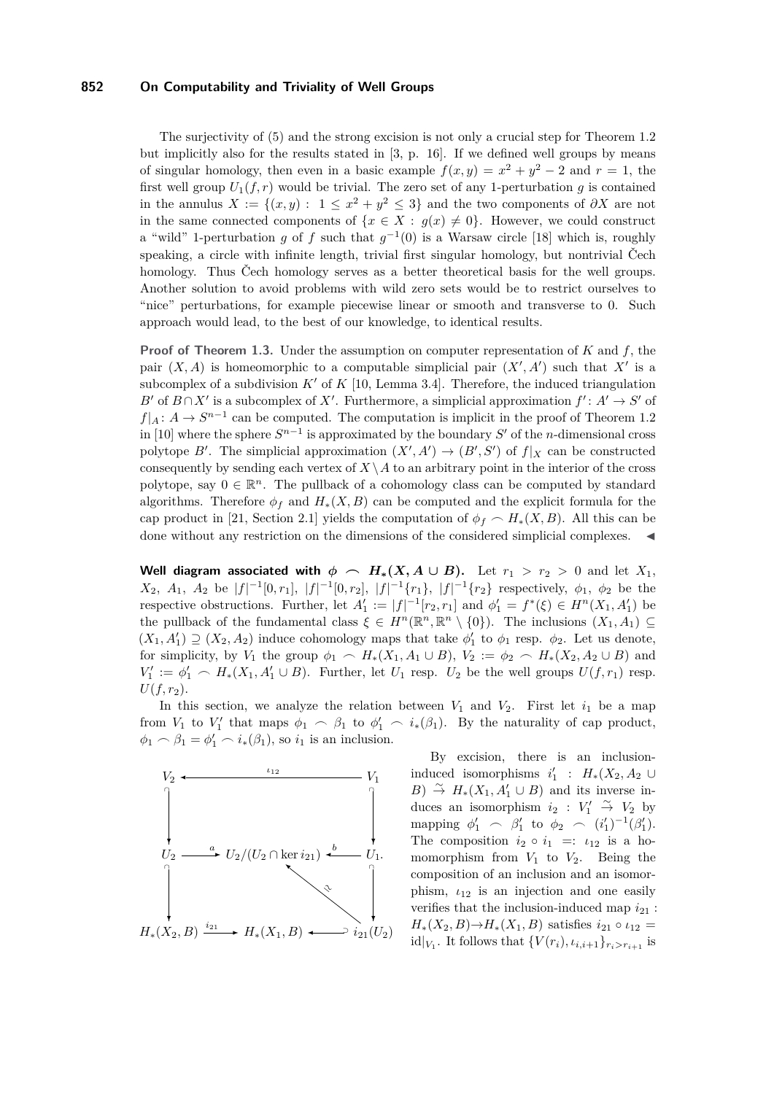The surjectivity of [\(5\)](#page-9-0) and the strong excision is not only a crucial step for Theorem [1.2](#page-3-3) but implicitly also for the results stated in [\[3,](#page-13-3) p. 16]. If we defined well groups by means of singular homology, then even in a basic example  $f(x,y) = x^2 + y^2 - 2$  and  $r = 1$ , the first well group  $U_1(f, r)$  would be trivial. The zero set of any 1-perturbation g is contained in the annulus  $X := \{(x, y): 1 \leq x^2 + y^2 \leq 3\}$  and the two components of  $\partial X$  are not in the same connected components of  $\{x \in X : q(x) \neq 0\}$ . However, we could construct a "wild" 1-perturbation *g* of *f* such that  $g^{-1}(0)$  is a Warsaw circle [\[18\]](#page-14-16) which is, roughly speaking, a circle with infinite length, trivial first singular homology, but nontrivial Čech homology. Thus Čech homology serves as a better theoretical basis for the well groups. Another solution to avoid problems with wild zero sets would be to restrict ourselves to "nice" perturbations, for example piecewise linear or smooth and transverse to 0. Such approach would lead, to the best of our knowledge, to identical results.

**Proof of Theorem [1.3.](#page-4-4)** Under the assumption on computer representation of *K* and *f*, the pair  $(X, A)$  is homeomorphic to a computable simplicial pair  $(X', A')$  such that X' is a subcomplex of a subdivision  $K'$  of  $K$  [\[10,](#page-14-6) Lemma 3.4]. Therefore, the induced triangulation *B*<sup> $\prime$ </sup> of  $B \cap X'$  is a subcomplex of *X*<sup> $\prime$ </sup>. Furthermore, a simplicial approximation  $f' : A' \rightarrow S'$  of  $f|_A: A \to S^{n-1}$  can be computed. The computation is implicit in the proof of Theorem 1.2 in [\[10\]](#page-14-6) where the sphere  $S^{n-1}$  is approximated by the boundary  $S'$  of the *n*-dimensional cross polytope *B'*. The simplicial approximation  $(X', A') \to (B', S')$  of  $f|_X$  can be constructed consequently by sending each vertex of  $X \setminus A$  to an arbitrary point in the interior of the cross polytope, say  $0 \in \mathbb{R}^n$ . The pullback of a cohomology class can be computed by standard algorithms. Therefore  $\phi_f$  and  $H_*(X, B)$  can be computed and the explicit formula for the cap product in [\[21,](#page-14-3) Section 2.1] yields the computation of  $\phi_f \sim H_*(X, B)$ . All this can be done without any restriction on the dimensions of the considered simplicial complexes.  $\blacktriangleleft$ 

**Well diagram associated with**  $\phi \sim H_*(X, A \cup B)$ . Let  $r_1 > r_2 > 0$  and let  $X_1$ , *X*<sub>2</sub>, *A*<sub>1</sub>, *A*<sub>2</sub> be  $|f|^{-1}[0, r_1]$ ,  $|f|^{-1}[0, r_2]$ ,  $|f|^{-1}\{r_1\}$ ,  $|f|^{-1}\{r_2\}$  respectively,  $\phi_1$ ,  $\phi_2$  be the respective obstructions. Further, let  $A'_1 := |f|^{-1}[r_2, r_1]$  and  $\phi'_1 = f^*(\xi) \in H^n(X_1, A'_1)$  be the pullback of the fundamental class  $\xi \in H^n(\mathbb{R}^n, \mathbb{R}^n \setminus \{0\})$ . The inclusions  $(X_1, A_1) \subseteq$  $(X_1, A'_1) \supseteq (X_2, A_2)$  induce cohomology maps that take  $\phi'_1$  to  $\phi_1$  resp.  $\phi_2$ . Let us denote, for simplicity, by *V*<sub>1</sub> the group  $\phi_1 \sim H_*(X_1, A_1 \cup B)$ ,  $V_2 := \phi_2 \sim H_*(X_2, A_2 \cup B)$  and  $V_1' := \phi_1' \frown H_*(X_1, A_1' \cup B)$ . Further, let  $U_1$  resp.  $U_2$  be the well groups  $U(f, r_1)$  resp.  $U(f, r_2)$ .

In this section, we analyze the relation between  $V_1$  and  $V_2$ . First let  $i_1$  be a map from  $V_1$  to  $V'_1$  that maps  $\phi_1 \frown \beta_1$  to  $\phi'_1 \frown i_*(\beta_1)$ . By the naturality of cap product,  $\phi_1 \frown \beta_1 = \phi'_1 \frown i_*(\beta_1)$ , so  $i_1$  is an inclusion.



By excision, there is an inclusioninduced isomorphisms  $i'_1$  :  $H_*(X_2, A_2 \cup$ *B*)  $\stackrel{\sim}{\to}$  *H*<sub>∗</sub>(*X*<sub>1</sub>, *A*'<sub>1</sub></sub> ∪ *B*) and its inverse induces an isomorphism  $i_2 : V'_1 \overset{\sim}{\rightarrow} V_2$  by mapping  $\phi'_1 \sim \beta'_1$  to  $\phi_2 \sim (i'_1)^{-1}(\beta'_1)$ . The composition  $i_2 \circ i_1 =: \iota_{12}$  is a homomorphism from  $V_1$  to  $V_2$ . Being the composition of an inclusion and an isomorphism,  $\iota_{12}$  is an injection and one easily verifies that the inclusion-induced map  $i_{21}$ : *H*<sub>∗</sub>(*X*<sub>2</sub>*, B*)→*H*<sub>∗</sub>(*X*<sub>1</sub>*, B*) satisfies  $i_{21} \circ i_{12} =$ id| $V_1$ . It follows that  $\{V(r_i), v_{i,i+1}\}_{r_i > r_{i+1}}$  is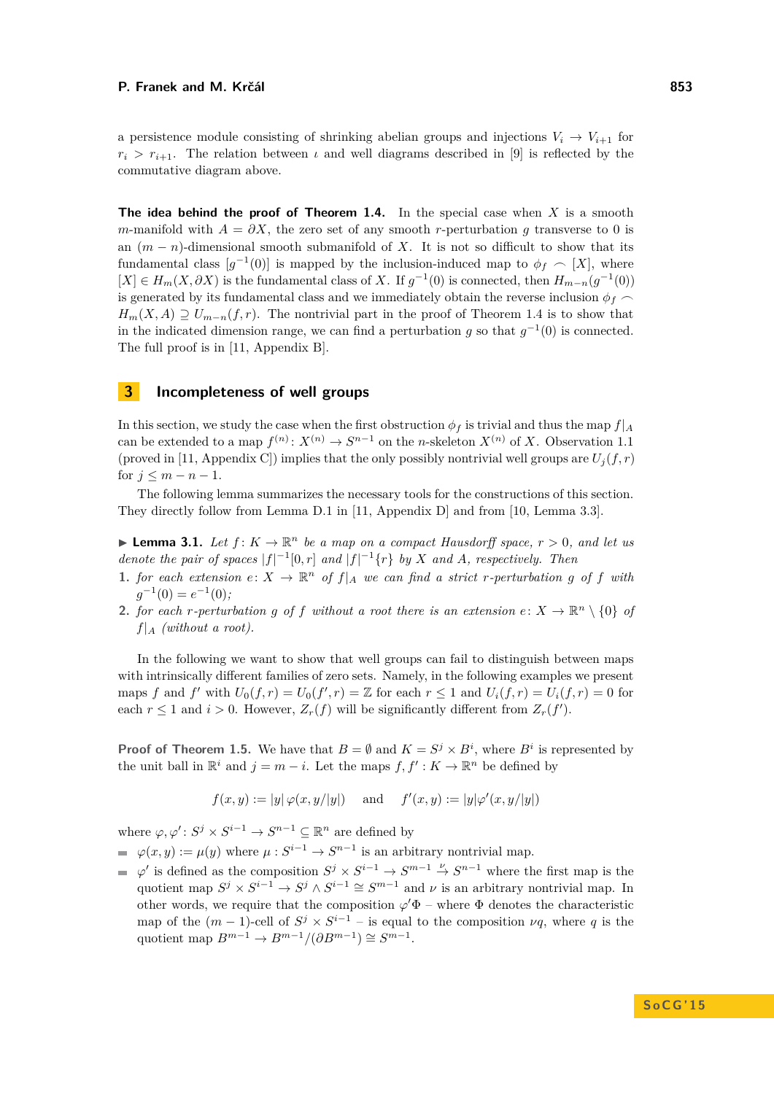a persistence module consisting of shrinking abelian groups and injections  $V_i \rightarrow V_{i+1}$  for  $r_i > r_{i+1}$ . The relation between *ι* and well diagrams described in [\[9\]](#page-14-17) is reflected by the commutative diagram above.

**The idea behind the proof of Theorem [1.4.](#page-4-1)** In the special case when *X* is a smooth *m*-manifold with  $A = \partial X$ , the zero set of any smooth *r*-perturbation *q* transverse to 0 is an  $(m - n)$ -dimensional smooth submanifold of *X*. It is not so difficult to show that its fundamental class  $[g^{-1}(0)]$  is mapped by the inclusion-induced map to  $\phi_f \sim [X]$ , where  $[X]$  ∈  $H_m(X, \partial X)$  is the fundamental class of *X*. If  $g^{-1}(0)$  is connected, then  $H_{m-n}(g^{-1}(0))$ is generated by its fundamental class and we immediately obtain the reverse inclusion  $\phi_f$  $H_m(X, A) \supseteq U_{m-n}(f,r)$ . The nontrivial part in the proof of Theorem [1.4](#page-4-1) is to show that in the indicated dimension range, we can find a perturbation *g* so that  $g^{-1}(0)$  is connected. The full proof is in [\[11,](#page-14-5) Appendix B].

## <span id="page-11-0"></span>**3 Incompleteness of well groups**

In this section, we study the case when the first obstruction  $\phi_f$  is trivial and thus the map  $f|_A$ can be extended to a map  $f^{(n)}: X^{(n)} \to S^{n-1}$  on the *n*-skeleton  $X^{(n)}$  of *X*. Observation [1.1](#page-3-4) (proved in [\[11,](#page-14-5) Appendix C]) implies that the only possibly nontrivial well groups are  $U_i(f, r)$ for  $j \leq m - n - 1$ .

The following lemma summarizes the necessary tools for the constructions of this section. They directly follow from Lemma D.1 in [\[11,](#page-14-5) Appendix D] and from [\[10,](#page-14-6) Lemma 3.3].

<span id="page-11-1"></span>**I Lemma 3.1.** Let  $f: K \to \mathbb{R}^n$  be a map on a compact Hausdorff space,  $r > 0$ , and let us *denote the pair of spaces*  $|f|^{-1}[0,r]$  *and*  $|f|^{-1}\{r\}$  *by X and A, respectively. Then* 

- <span id="page-11-3"></span>**1.** *for each extension*  $e: X \to \mathbb{R}^n$  *of*  $f|_A$  *we can find a strict r-perturbation g of f with*  $g^{-1}(0) = e^{-1}(0);$
- <span id="page-11-2"></span>**2.** *for each r-perturbation g of f without a root there is an extension*  $e: X \to \mathbb{R}^n \setminus \{0\}$  *of*  $f|_A$  *(without a root).*

In the following we want to show that well groups can fail to distinguish between maps with intrinsically different families of zero sets. Namely, in the following examples we present maps *f* and *f*' with  $U_0(f,r) = U_0(f',r) = \mathbb{Z}$  for each  $r \leq 1$  and  $U_i(f,r) = U_i(f,r) = 0$  for each  $r \leq 1$  and  $i > 0$ . However,  $Z_r(f)$  will be significantly different from  $Z_r(f')$ .

**Proof of Theorem [1.5.](#page-5-0)** We have that  $B = \emptyset$  and  $K = S^j \times B^i$ , where  $B^i$  is represented by the unit ball in  $\mathbb{R}^i$  and  $j = m - i$ . Let the maps  $f, f' : K \to \mathbb{R}^n$  be defined by

$$
f(x, y) := |y| \varphi(x, y/|y|)
$$
 and  $f'(x, y) := |y| \varphi'(x, y/|y|)$ 

where  $\varphi, \varphi' : S^j \times S^{i-1} \to S^{n-1} \subseteq \mathbb{R}^n$  are defined by

- $\varphi(x, y) := \mu(y)$  where  $\mu: S^{i-1} \to S^{n-1}$  is an arbitrary nontrivial map.
- $\varphi'$  is defined as the composition  $S^j \times S^{i-1} \to S^{m-1} \stackrel{\nu}{\to} S^{n-1}$  where the first map is the quotient map  $S^j \times S^{i-1} \to S^j \wedge S^{i-1} \cong S^{m-1}$  and  $\nu$  is an arbitrary nontrivial map. In other words, we require that the composition  $\varphi' \Phi$  – where  $\Phi$  denotes the characteristic map of the  $(m-1)$ -cell of  $S^j \times S^{i-1}$  – is equal to the composition  $\nu q$ , where q is the quotient map  $B^{m-1} \to B^{m-1}/(\partial B^{m-1}) \cong S^{m-1}$ .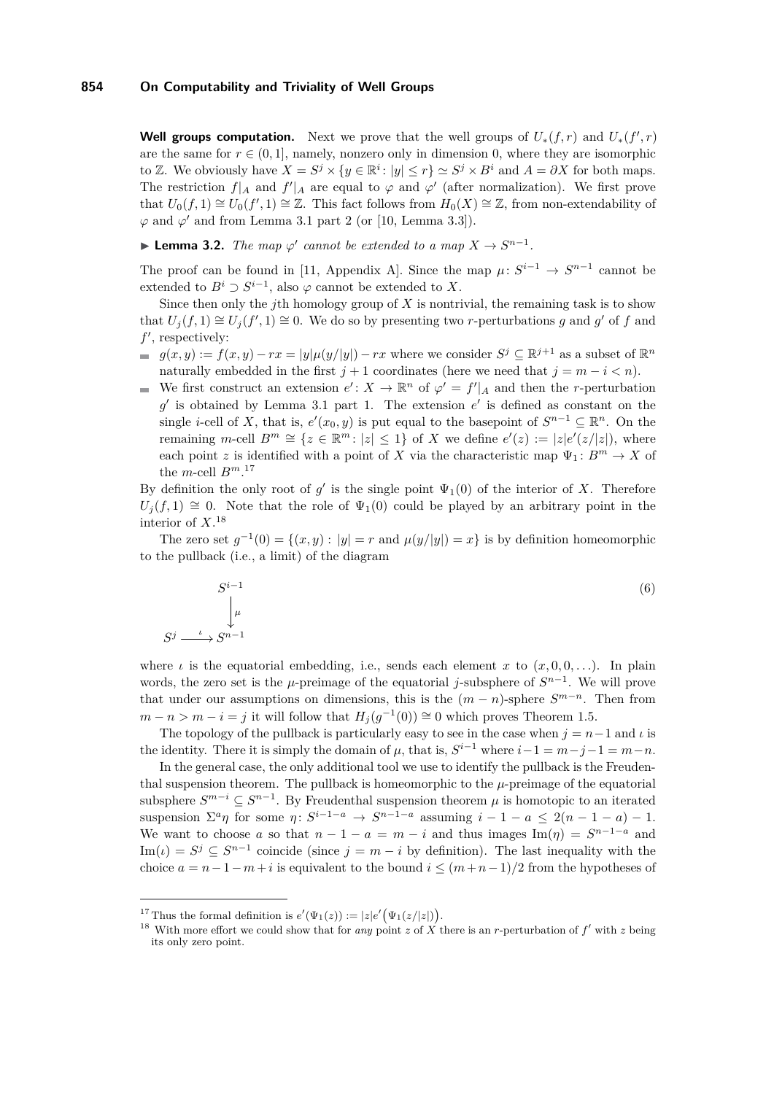**Well groups computation.** Next we prove that the well groups of  $U_*(f,r)$  and  $U_*(f',r)$ are the same for  $r \in (0, 1]$ , namely, nonzero only in dimension 0, where they are isomorphic to Z. We obviously have  $X = S^j \times \{y \in \mathbb{R}^i : |y| \leq r\} \simeq S^j \times B^i$  and  $A = \partial X$  for both maps. The restriction  $f|_A$  and  $f'|_A$  are equal to  $\varphi$  and  $\varphi'$  (after normalization). We first prove that  $U_0(f,1) \cong U_0(f',1) \cong \mathbb{Z}$ . This fact follows from  $H_0(X) \cong \mathbb{Z}$ , from non-extendability of  $\varphi$  and  $\varphi'$  and from Lemma [3.1](#page-11-1) part [2](#page-11-2) (or [\[10,](#page-14-6) Lemma 3.3]).

**► Lemma 3.2.** *The map*  $\varphi'$  *cannot be extended to a map*  $X \to S^{n-1}$ *.* 

The proof can be found in [\[11,](#page-14-5) Appendix A]. Since the map  $\mu: S^{i-1} \to S^{n-1}$  cannot be extended to  $B^i \supset S^{i-1}$ , also  $\varphi$  cannot be extended to *X*.

Since then only the *j*th homology group of *X* is nontrivial, the remaining task is to show that  $U_j(f,1) \cong U_j(f',1) \cong 0$ . We do so by presenting two *r*-perturbations *g* and *g*' of *f* and  $f'$ , respectively:

- $g(x, y) := f(x, y) rx = |y| \mu(y/|y|) rx$  where we consider  $S^j \subseteq \mathbb{R}^{j+1}$  as a subset of  $\mathbb{R}^n$ naturally embedded in the first  $j + 1$  coordinates (here we need that  $j = m - i < n$ ).
- We first construct an extension  $e' : X \to \mathbb{R}^n$  of  $\varphi' = f'|_A$  and then the *r*-perturbation  $g'$  is obtained by Lemma [3.1](#page-11-1) part [1.](#page-11-3) The extension  $e'$  is defined as constant on the single *i*-cell of *X*, that is,  $e'(x_0, y)$  is put equal to the basepoint of  $S^{n-1} \subseteq \mathbb{R}^n$ . On the remaining  $m$ -cell  $B^m \cong \{z \in \mathbb{R}^m : |z| \leq 1\}$  of *X* we define  $e'(z) := |z|e'(z/|z|)$ , where each point *z* is identified with a point of *X* via the characteristic map  $\Psi_1: B^m \to X$  of the *m*-cell  $B^{m}$ <sup>[17](#page-12-0)</sup>

By definition the only root of  $g'$  is the single point  $\Psi_1(0)$  of the interior of *X*. Therefore  $U_i(f,1) \cong 0$ . Note that the role of  $\Psi_1(0)$  could be played by an arbitrary point in the interior of *X*. [18](#page-12-1)

The zero set  $g^{-1}(0) = \{(x, y) : |y| = r \text{ and } \mu(y/|y|) = x\}$  is by definition homeomorphic to the pullback (i.e., a limit) of the diagram

$$
S^{i-1} \downarrow
$$
  
\n
$$
\downarrow^{\mu}
$$
  
\n
$$
\xrightarrow{\iota} S^{n-1}
$$
 (6)

where  $\iota$  is the equatorial embedding, i.e., sends each element *x* to  $(x, 0, 0, ...)$ . In plain words, the zero set is the  $\mu$ -preimage of the equatorial *j*-subsphere of  $S^{n-1}$ . We will prove that under our assumptions on dimensions, this is the  $(m - n)$ -sphere  $S^{m-n}$ . Then from  $m - n > m - i = j$  it will follow that  $H_j(g^{-1}(0)) \cong 0$  which proves Theorem [1.5.](#page-5-0)

The topology of the pullback is particularly easy to see in the case when  $j = n-1$  and  $\iota$  is the identity. There it is simply the domain of  $\mu$ , that is,  $S^{i-1}$  where  $i-1 = m-j-1 = m-n$ .

In the general case, the only additional tool we use to identify the pullback is the Freudenthal suspension theorem. The pullback is homeomorphic to the *µ*-preimage of the equatorial subsphere  $S^{m-i} \subseteq S^{n-1}$ . By Freudenthal suspension theorem  $\mu$  is homotopic to an iterated suspension  $\Sigma^a \eta$  for some  $\eta \colon S^{i-1-a} \to S^{n-1-a}$  assuming  $i-1-a \leq 2(n-1-a)-1$ . We want to choose *a* so that  $n - 1 - a = m - i$  and thus images Im( $\eta$ ) =  $S^{n-1-a}$  and Im(*ι*) =  $S^j \subseteq S^{n-1}$  coincide (since  $j = m - i$  by definition). The last inequality with the choice  $a = n - 1 - m + i$  is equivalent to the bound  $i \leq (m + n - 1)/2$  from the hypotheses of

*S j*

<span id="page-12-0"></span><sup>&</sup>lt;sup>17</sup> Thus the formal definition is  $e'(\Psi_1(z)) := |z|e'(\Psi_1(z/|z|)).$ 

<span id="page-12-1"></span><sup>&</sup>lt;sup>18</sup> With more effort we could show that for *any* point *z* of X there is an *r*-perturbation of  $f'$  with *z* being its only zero point.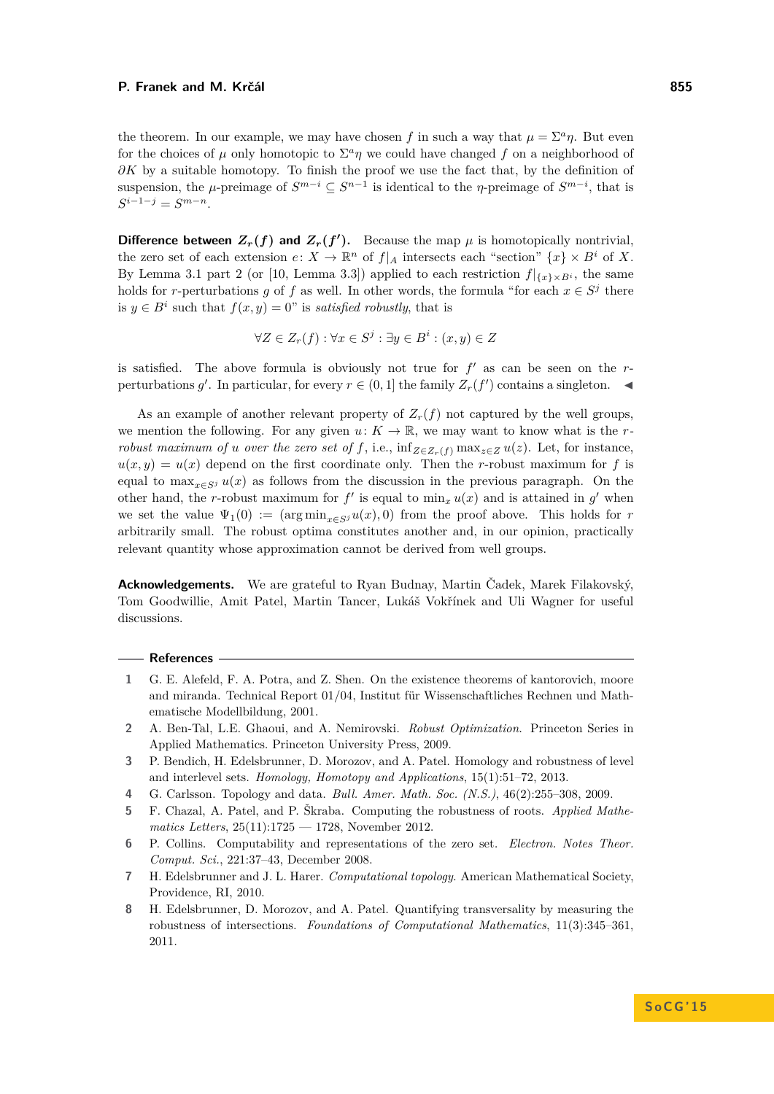the theorem. In our example, we may have chosen f in such a way that  $\mu = \sum^a \eta$ . But even for the choices of  $\mu$  only homotopic to  $\Sigma^a \eta$  we could have changed  $f$  on a neighborhood of *∂K* by a suitable homotopy. To finish the proof we use the fact that, by the definition of suspension, the  $\mu$ -preimage of  $S^{m-i} \subseteq S^{n-1}$  is identical to the *η*-preimage of  $S^{m-i}$ , that is  $S^{i-1-j} = S^{m-n}$ .

**Difference between**  $Z_r(f)$  and  $Z_r(f')$ . Because the map  $\mu$  is homotopically nontrivial, the zero set of each extension  $e: X \to \mathbb{R}^n$  of  $f|_A$  intersects each "section"  $\{x\} \times B^i$  of X. By Lemma [3.1](#page-11-1) part [2](#page-11-2) (or [\[10,](#page-14-6) Lemma 3.3]) applied to each restriction  $f|_{\{x\}\times B^i}$ , the same holds for *r*-perturbations *g* of *f* as well. In other words, the formula "for each  $x \in S^j$  there is  $y \in B^i$  such that  $f(x, y) = 0$ " is *satisfied robustly*, that is

$$
\forall Z \in Z_r(f) : \forall x \in S^j : \exists y \in B^i : (x, y) \in Z
$$

is satisfied. The above formula is obviously not true for  $f'$  as can be seen on the  $r$ perturbations *g*'. In particular, for every  $r \in (0,1]$  the family  $Z_r(f')$  contains a singleton.

As an example of another relevant property of  $Z_r(f)$  not captured by the well groups, we mention the following. For any given  $u: K \to \mathbb{R}$ , we may want to know what is the *rrobust maximum of u over the zero set of f,* i.e.,  $\inf_{Z \in Z_r(f)} \max_{z \in Z} u(z)$ . Let, for instance,  $u(x, y) = u(x)$  depend on the first coordinate only. Then the *r*-robust maximum for f is equal to  $\max_{x \in S} u(x)$  as follows from the discussion in the previous paragraph. On the other hand, the *r*-robust maximum for  $f'$  is equal to  $\min_x u(x)$  and is attained in  $g'$  when we set the value  $\Psi_1(0) := (\arg \min_{x \in S} u(x), 0)$  from the proof above. This holds for *r* arbitrarily small. The robust optima constitutes another and, in our opinion, practically relevant quantity whose approximation cannot be derived from well groups.

**Acknowledgements.** We are grateful to Ryan Budnay, Martin Čadek, Marek Filakovský, Tom Goodwillie, Amit Patel, Martin Tancer, Lukáš Vokřínek and Uli Wagner for useful discussions.

### **References**

- <span id="page-13-5"></span>**1** G. E. Alefeld, F. A. Potra, and Z. Shen. On the existence theorems of kantorovich, moore and miranda. Technical Report 01/04, Institut für Wissenschaftliches Rechnen und Mathematische Modellbildung, 2001.
- <span id="page-13-1"></span>**2** A. Ben-Tal, L.E. Ghaoui, and A. Nemirovski. *Robust Optimization*. Princeton Series in Applied Mathematics. Princeton University Press, 2009.
- <span id="page-13-3"></span>**3** P. Bendich, H. Edelsbrunner, D. Morozov, and A. Patel. Homology and robustness of level and interlevel sets. *Homology, Homotopy and Applications*, 15(1):51–72, 2013.
- <span id="page-13-0"></span>**4** G. Carlsson. Topology and data. *Bull. Amer. Math. Soc. (N.S.)*, 46(2):255–308, 2009.
- <span id="page-13-4"></span>**5** F. Chazal, A. Patel, and P. Škraba. Computing the robustness of roots. *Applied Mathematics Letters*, 25(11):1725 — 1728, November 2012.
- <span id="page-13-6"></span>**6** P. Collins. Computability and representations of the zero set. *Electron. Notes Theor. Comput. Sci.*, 221:37–43, December 2008.
- <span id="page-13-7"></span>**7** H. Edelsbrunner and J. L. Harer. *Computational topology*. American Mathematical Society, Providence, RI, 2010.
- <span id="page-13-2"></span>**8** H. Edelsbrunner, D. Morozov, and A. Patel. Quantifying transversality by measuring the robustness of intersections. *Foundations of Computational Mathematics*, 11(3):345–361, 2011.